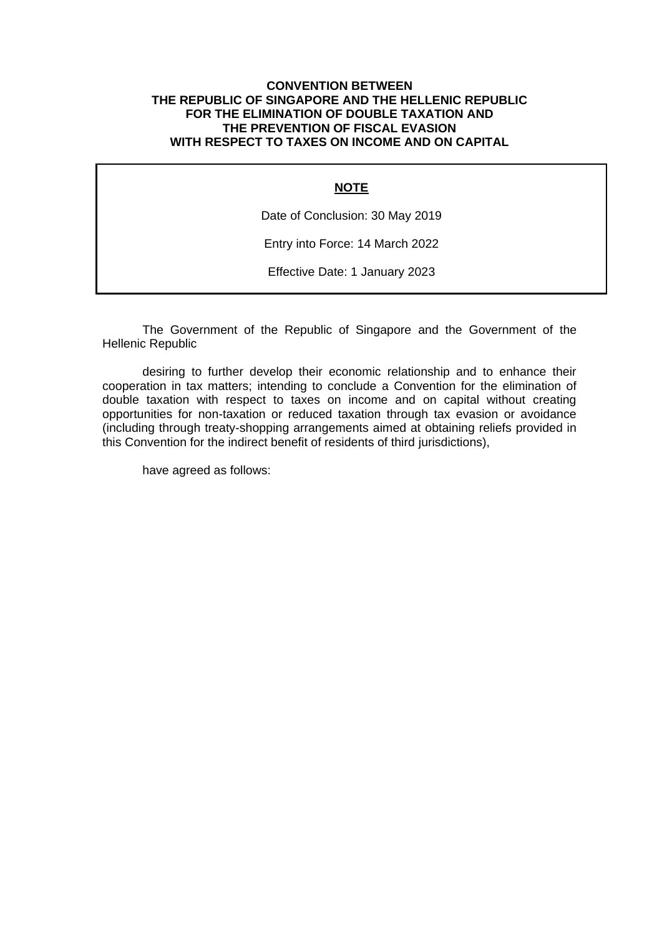### **CONVENTION BETWEEN THE REPUBLIC OF SINGAPORE AND THE HELLENIC REPUBLIC FOR THE ELIMINATION OF DOUBLE TAXATION AND THE PREVENTION OF FISCAL EVASION WITH RESPECT TO TAXES ON INCOME AND ON CAPITAL**

### **NOTE**

Date of Conclusion: 30 May 2019

Entry into Force: 14 March 2022

Effective Date: 1 January 2023

The Government of the Republic of Singapore and the Government of the Hellenic Republic

desiring to further develop their economic relationship and to enhance their cooperation in tax matters; intending to conclude a Convention for the elimination of double taxation with respect to taxes on income and on capital without creating opportunities for non-taxation or reduced taxation through tax evasion or avoidance (including through treaty-shopping arrangements aimed at obtaining reliefs provided in this Convention for the indirect benefit of residents of third jurisdictions),

have agreed as follows: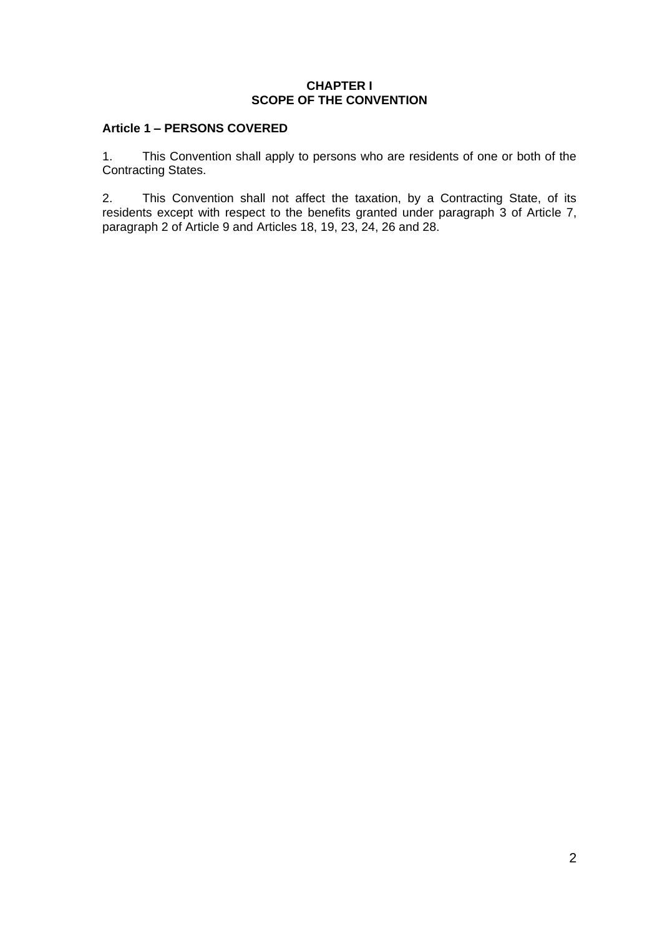### **CHAPTER I SCOPE OF THE CONVENTION**

# **Article 1 – PERSONS COVERED**

1. This Convention shall apply to persons who are residents of one or both of the Contracting States.

2. This Convention shall not affect the taxation, by a Contracting State, of its residents except with respect to the benefits granted under paragraph 3 of Article 7, paragraph 2 of Article 9 and Articles 18, 19, 23, 24, 26 and 28.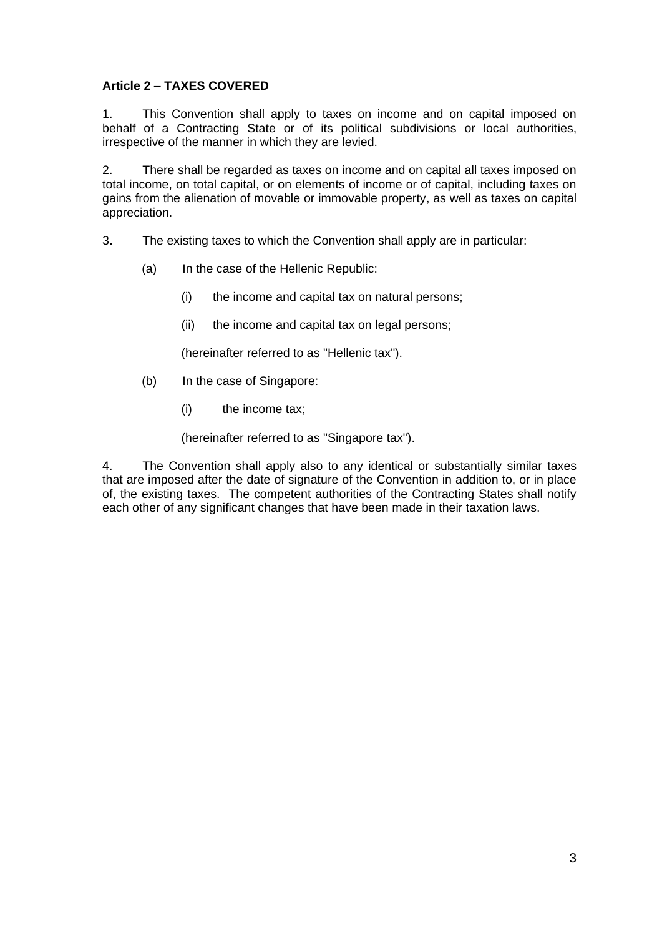# **Article 2 – TAXES COVERED**

1. This Convention shall apply to taxes on income and on capital imposed on behalf of a Contracting State or of its political subdivisions or local authorities, irrespective of the manner in which they are levied.

2. There shall be regarded as taxes on income and on capital all taxes imposed on total income, on total capital, or on elements of income or of capital, including taxes on gains from the alienation of movable or immovable property, as well as taxes on capital appreciation.

- 3**.** The existing taxes to which the Convention shall apply are in particular:
	- (a) In the case of the Hellenic Republic:
		- (i) the income and capital tax on natural persons;
		- (ii) the income and capital tax on legal persons;

(hereinafter referred to as "Hellenic tax").

- (b) In the case of Singapore:
	- (i) the income tax;

(hereinafter referred to as "Singapore tax").

4. The Convention shall apply also to any identical or substantially similar taxes that are imposed after the date of signature of the Convention in addition to, or in place of, the existing taxes. The competent authorities of the Contracting States shall notify each other of any significant changes that have been made in their taxation laws.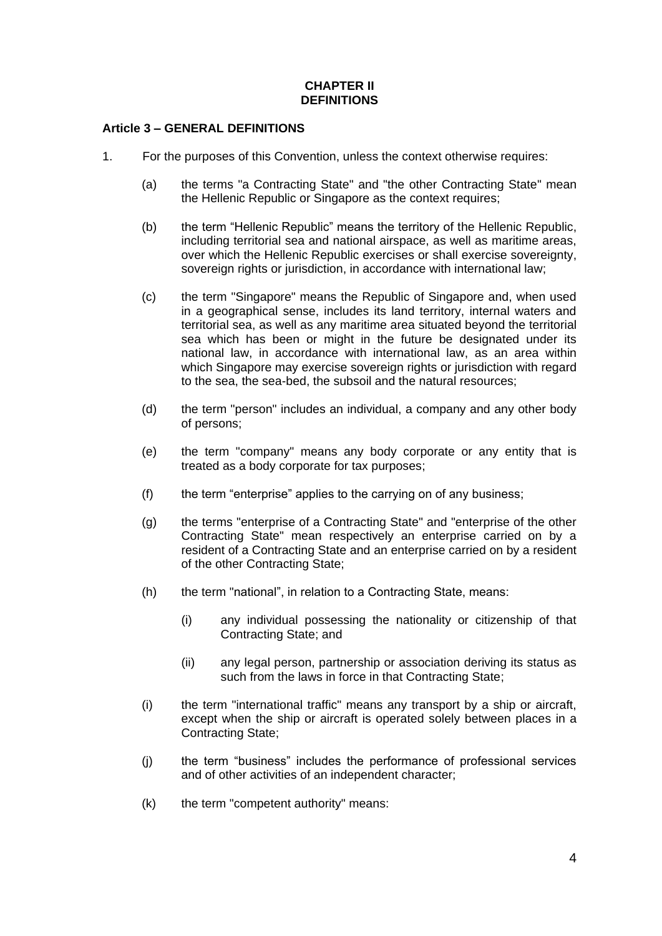### **CHAPTER II DEFINITIONS**

### **Article 3 – GENERAL DEFINITIONS**

- 1. For the purposes of this Convention, unless the context otherwise requires:
	- (a) the terms "a Contracting State" and "the other Contracting State" mean the Hellenic Republic or Singapore as the context requires;
	- (b) the term "Hellenic Republic" means the territory of the Hellenic Republic, including territorial sea and national airspace, as well as maritime areas, over which the Hellenic Republic exercises or shall exercise sovereignty, sovereign rights or jurisdiction, in accordance with international law;
	- (c) the term "Singapore" means the Republic of Singapore and, when used in a geographical sense, includes its land territory, internal waters and territorial sea, as well as any maritime area situated beyond the territorial sea which has been or might in the future be designated under its national law, in accordance with international law, as an area within which Singapore may exercise sovereign rights or jurisdiction with regard to the sea, the sea-bed, the subsoil and the natural resources;
	- (d) the term "person" includes an individual, a company and any other body of persons;
	- (e) the term "company" means any body corporate or any entity that is treated as a body corporate for tax purposes;
	- (f) the term "enterprise" applies to the carrying on of any business;
	- (g) the terms "enterprise of a Contracting State" and "enterprise of the other Contracting State" mean respectively an enterprise carried on by a resident of a Contracting State and an enterprise carried on by a resident of the other Contracting State;
	- (h) the term "national", in relation to a Contracting State, means:
		- (i) any individual possessing the nationality or citizenship of that Contracting State; and
		- (ii) any legal person, partnership or association deriving its status as such from the laws in force in that Contracting State;
	- (i) the term "international traffic" means any transport by a ship or aircraft, except when the ship or aircraft is operated solely between places in a Contracting State;
	- (j) the term "business" includes the performance of professional services and of other activities of an independent character;
	- (k) the term "competent authority" means: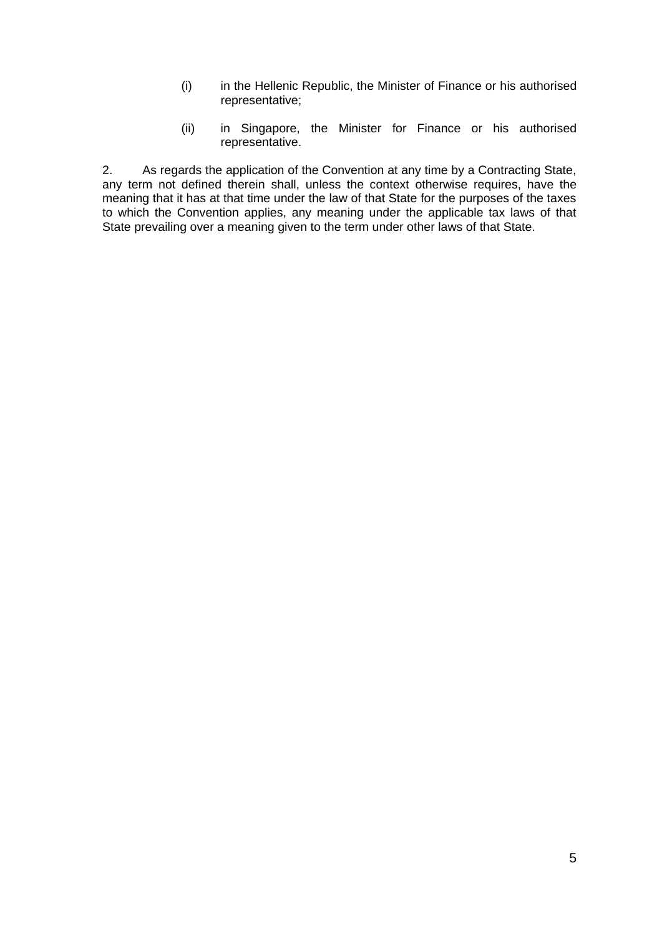- (i) in the Hellenic Republic, the Minister of Finance or his authorised representative;
- (ii) in Singapore, the Minister for Finance or his authorised representative.

2. As regards the application of the Convention at any time by a Contracting State, any term not defined therein shall, unless the context otherwise requires, have the meaning that it has at that time under the law of that State for the purposes of the taxes to which the Convention applies, any meaning under the applicable tax laws of that State prevailing over a meaning given to the term under other laws of that State.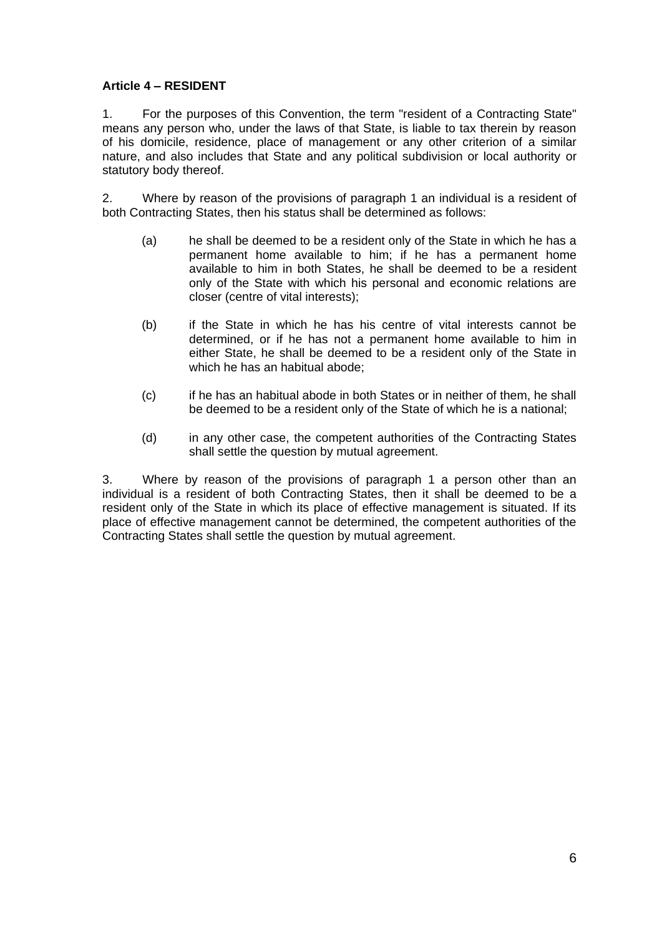# **Article 4 – RESIDENT**

1. For the purposes of this Convention, the term "resident of a Contracting State" means any person who, under the laws of that State, is liable to tax therein by reason of his domicile, residence, place of management or any other criterion of a similar nature, and also includes that State and any political subdivision or local authority or statutory body thereof.

2. Where by reason of the provisions of paragraph 1 an individual is a resident of both Contracting States, then his status shall be determined as follows:

- (a) he shall be deemed to be a resident only of the State in which he has a permanent home available to him; if he has a permanent home available to him in both States, he shall be deemed to be a resident only of the State with which his personal and economic relations are closer (centre of vital interests);
- (b) if the State in which he has his centre of vital interests cannot be determined, or if he has not a permanent home available to him in either State, he shall be deemed to be a resident only of the State in which he has an habitual abode;
- (c) if he has an habitual abode in both States or in neither of them, he shall be deemed to be a resident only of the State of which he is a national;
- (d) in any other case, the competent authorities of the Contracting States shall settle the question by mutual agreement.

3. Where by reason of the provisions of paragraph 1 a person other than an individual is a resident of both Contracting States, then it shall be deemed to be a resident only of the State in which its place of effective management is situated. If its place of effective management cannot be determined, the competent authorities of the Contracting States shall settle the question by mutual agreement.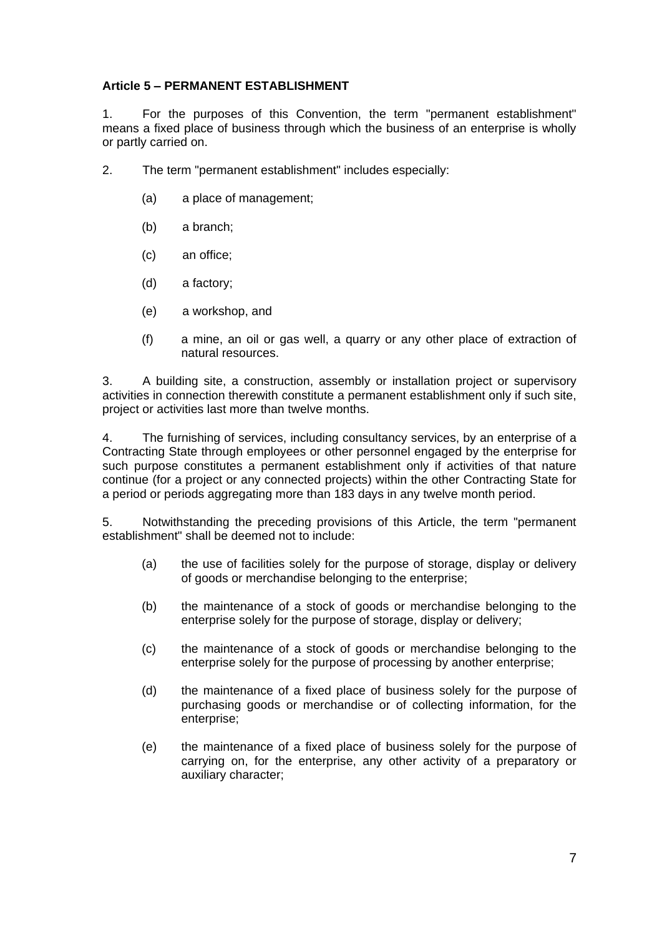# **Article 5 – PERMANENT ESTABLISHMENT**

1. For the purposes of this Convention, the term "permanent establishment" means a fixed place of business through which the business of an enterprise is wholly or partly carried on.

- 2. The term "permanent establishment" includes especially:
	- (a) a place of management;
	- (b) a branch;
	- (c) an office;
	- (d) a factory;
	- (e) a workshop, and
	- (f) a mine, an oil or gas well, a quarry or any other place of extraction of natural resources.

3. A building site, a construction, assembly or installation project or supervisory activities in connection therewith constitute a permanent establishment only if such site, project or activities last more than twelve months.

4. The furnishing of services, including consultancy services, by an enterprise of a Contracting State through employees or other personnel engaged by the enterprise for such purpose constitutes a permanent establishment only if activities of that nature continue (for a project or any connected projects) within the other Contracting State for a period or periods aggregating more than 183 days in any twelve month period.

5. Notwithstanding the preceding provisions of this Article, the term "permanent establishment" shall be deemed not to include:

- (a) the use of facilities solely for the purpose of storage, display or delivery of goods or merchandise belonging to the enterprise;
- (b) the maintenance of a stock of goods or merchandise belonging to the enterprise solely for the purpose of storage, display or delivery;
- (c) the maintenance of a stock of goods or merchandise belonging to the enterprise solely for the purpose of processing by another enterprise;
- (d) the maintenance of a fixed place of business solely for the purpose of purchasing goods or merchandise or of collecting information, for the enterprise;
- (e) the maintenance of a fixed place of business solely for the purpose of carrying on, for the enterprise, any other activity of a preparatory or auxiliary character;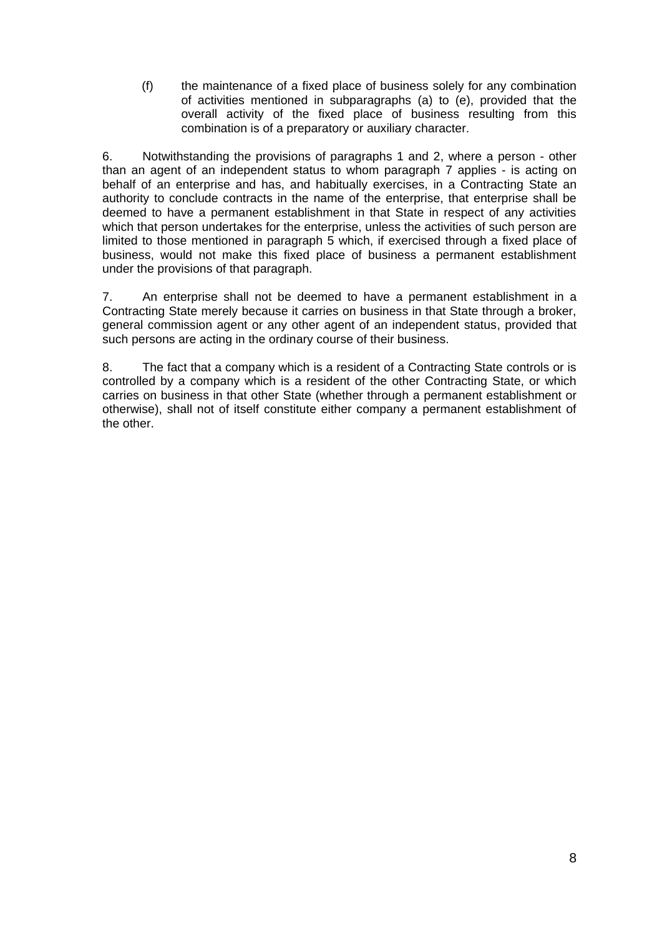(f) the maintenance of a fixed place of business solely for any combination of activities mentioned in subparagraphs (a) to (e), provided that the overall activity of the fixed place of business resulting from this combination is of a preparatory or auxiliary character.

6. Notwithstanding the provisions of paragraphs 1 and 2, where a person - other than an agent of an independent status to whom paragraph 7 applies - is acting on behalf of an enterprise and has, and habitually exercises, in a Contracting State an authority to conclude contracts in the name of the enterprise, that enterprise shall be deemed to have a permanent establishment in that State in respect of any activities which that person undertakes for the enterprise, unless the activities of such person are limited to those mentioned in paragraph 5 which, if exercised through a fixed place of business, would not make this fixed place of business a permanent establishment under the provisions of that paragraph.

7. An enterprise shall not be deemed to have a permanent establishment in a Contracting State merely because it carries on business in that State through a broker, general commission agent or any other agent of an independent status, provided that such persons are acting in the ordinary course of their business.

8. The fact that a company which is a resident of a Contracting State controls or is controlled by a company which is a resident of the other Contracting State, or which carries on business in that other State (whether through a permanent establishment or otherwise), shall not of itself constitute either company a permanent establishment of the other.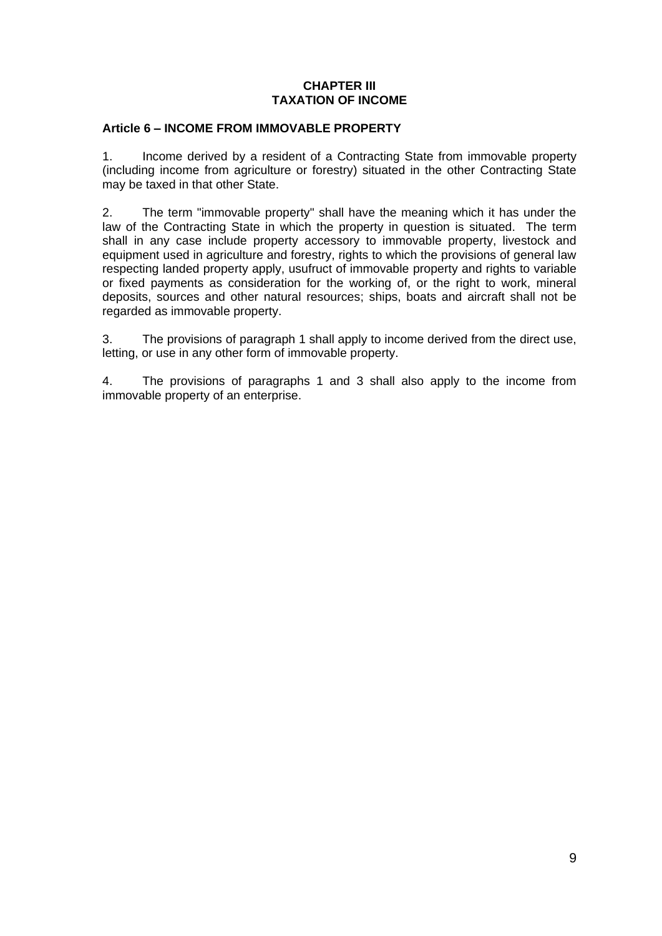# **CHAPTER III TAXATION OF INCOME**

### **Article 6 – INCOME FROM IMMOVABLE PROPERTY**

1. Income derived by a resident of a Contracting State from immovable property (including income from agriculture or forestry) situated in the other Contracting State may be taxed in that other State.

2. The term "immovable property" shall have the meaning which it has under the law of the Contracting State in which the property in question is situated. The term shall in any case include property accessory to immovable property, livestock and equipment used in agriculture and forestry, rights to which the provisions of general law respecting landed property apply, usufruct of immovable property and rights to variable or fixed payments as consideration for the working of, or the right to work, mineral deposits, sources and other natural resources; ships, boats and aircraft shall not be regarded as immovable property.

3. The provisions of paragraph 1 shall apply to income derived from the direct use, letting, or use in any other form of immovable property.

4. The provisions of paragraphs 1 and 3 shall also apply to the income from immovable property of an enterprise.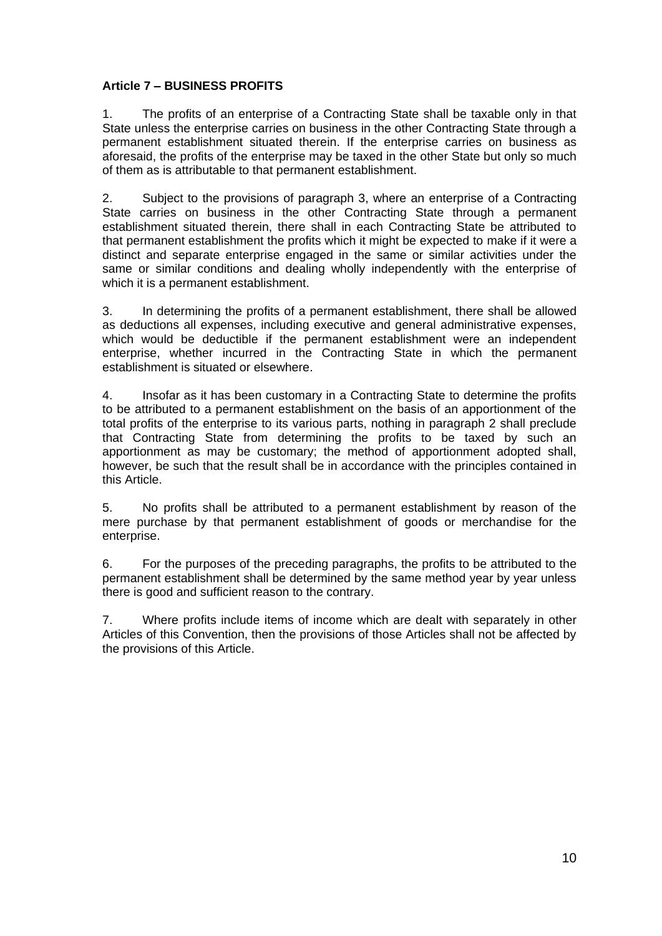# **Article 7 – BUSINESS PROFITS**

1. The profits of an enterprise of a Contracting State shall be taxable only in that State unless the enterprise carries on business in the other Contracting State through a permanent establishment situated therein. If the enterprise carries on business as aforesaid, the profits of the enterprise may be taxed in the other State but only so much of them as is attributable to that permanent establishment.

2. Subject to the provisions of paragraph 3, where an enterprise of a Contracting State carries on business in the other Contracting State through a permanent establishment situated therein, there shall in each Contracting State be attributed to that permanent establishment the profits which it might be expected to make if it were a distinct and separate enterprise engaged in the same or similar activities under the same or similar conditions and dealing wholly independently with the enterprise of which it is a permanent establishment.

3. In determining the profits of a permanent establishment, there shall be allowed as deductions all expenses, including executive and general administrative expenses, which would be deductible if the permanent establishment were an independent enterprise, whether incurred in the Contracting State in which the permanent establishment is situated or elsewhere.

4. Insofar as it has been customary in a Contracting State to determine the profits to be attributed to a permanent establishment on the basis of an apportionment of the total profits of the enterprise to its various parts, nothing in paragraph 2 shall preclude that Contracting State from determining the profits to be taxed by such an apportionment as may be customary; the method of apportionment adopted shall, however, be such that the result shall be in accordance with the principles contained in this Article.

5. No profits shall be attributed to a permanent establishment by reason of the mere purchase by that permanent establishment of goods or merchandise for the enterprise.

6. For the purposes of the preceding paragraphs, the profits to be attributed to the permanent establishment shall be determined by the same method year by year unless there is good and sufficient reason to the contrary.

7. Where profits include items of income which are dealt with separately in other Articles of this Convention, then the provisions of those Articles shall not be affected by the provisions of this Article.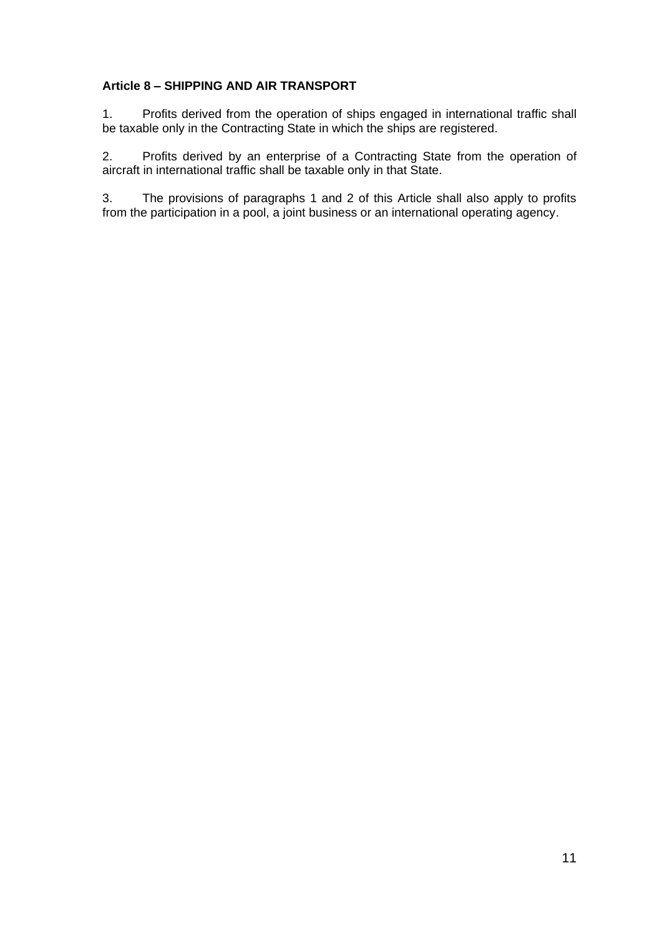# **Article 8 – SHIPPING AND AIR TRANSPORT**

1. Profits derived from the operation of ships engaged in international traffic shall be taxable only in the Contracting State in which the ships are registered.

2. Profits derived by an enterprise of a Contracting State from the operation of aircraft in international traffic shall be taxable only in that State.

3. The provisions of paragraphs 1 and 2 of this Article shall also apply to profits from the participation in a pool, a joint business or an international operating agency.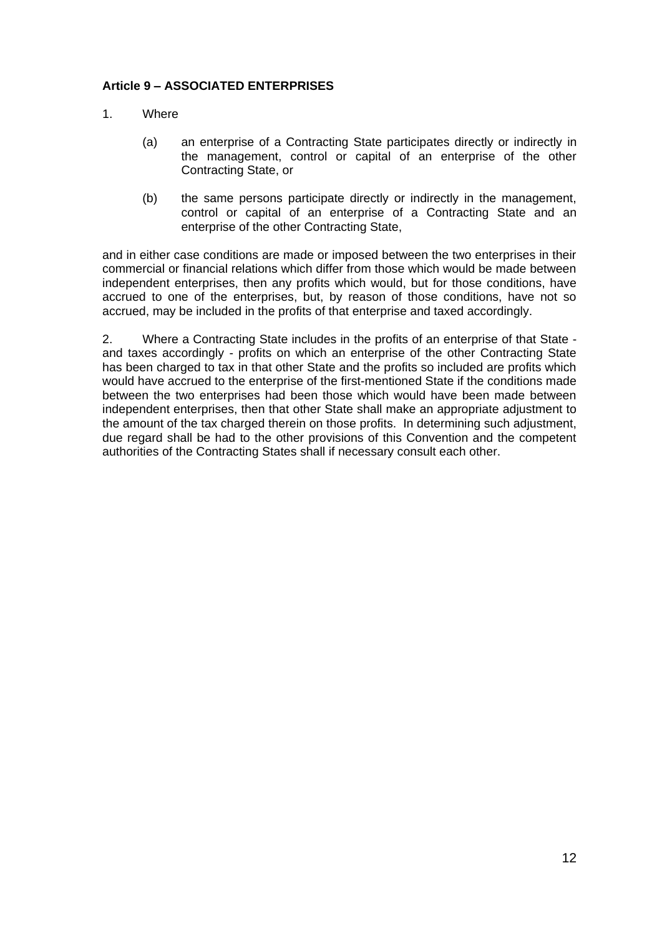# **Article 9 – ASSOCIATED ENTERPRISES**

- 1. Where
	- (a) an enterprise of a Contracting State participates directly or indirectly in the management, control or capital of an enterprise of the other Contracting State, or
	- (b) the same persons participate directly or indirectly in the management, control or capital of an enterprise of a Contracting State and an enterprise of the other Contracting State,

and in either case conditions are made or imposed between the two enterprises in their commercial or financial relations which differ from those which would be made between independent enterprises, then any profits which would, but for those conditions, have accrued to one of the enterprises, but, by reason of those conditions, have not so accrued, may be included in the profits of that enterprise and taxed accordingly.

2. Where a Contracting State includes in the profits of an enterprise of that State and taxes accordingly - profits on which an enterprise of the other Contracting State has been charged to tax in that other State and the profits so included are profits which would have accrued to the enterprise of the first-mentioned State if the conditions made between the two enterprises had been those which would have been made between independent enterprises, then that other State shall make an appropriate adjustment to the amount of the tax charged therein on those profits. In determining such adjustment, due regard shall be had to the other provisions of this Convention and the competent authorities of the Contracting States shall if necessary consult each other.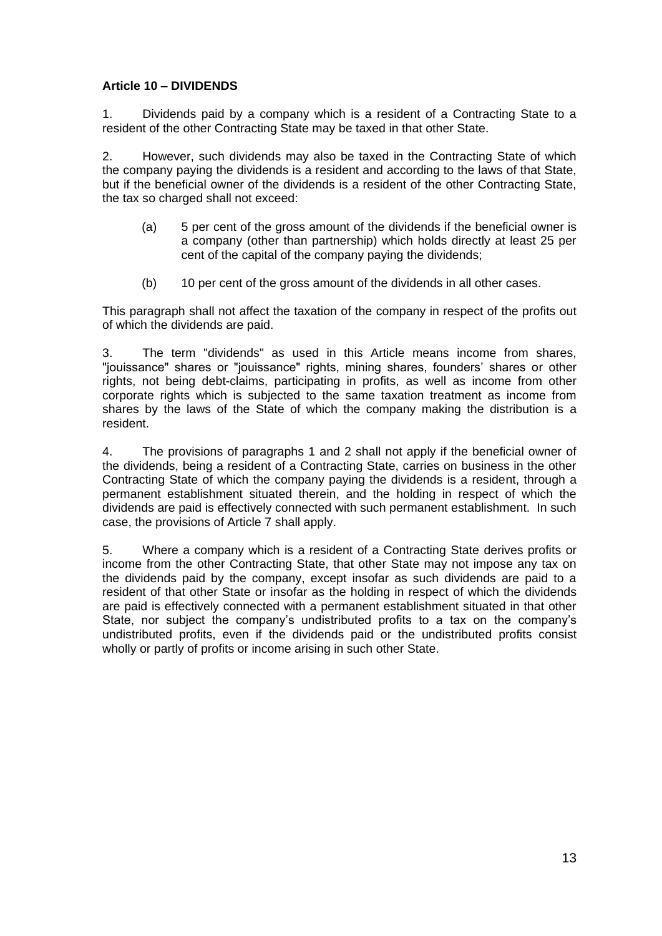# **Article 10 – DIVIDENDS**

1. Dividends paid by a company which is a resident of a Contracting State to a resident of the other Contracting State may be taxed in that other State.

2. However, such dividends may also be taxed in the Contracting State of which the company paying the dividends is a resident and according to the laws of that State, but if the beneficial owner of the dividends is a resident of the other Contracting State, the tax so charged shall not exceed:

- (a) 5 per cent of the gross amount of the dividends if the beneficial owner is a company (other than partnership) which holds directly at least 25 per cent of the capital of the company paying the dividends;
- (b) 10 per cent of the gross amount of the dividends in all other cases.

This paragraph shall not affect the taxation of the company in respect of the profits out of which the dividends are paid.

3. The term "dividends" as used in this Article means income from shares, "jouissance" shares or "jouissance" rights, mining shares, founders' shares or other rights, not being debt-claims, participating in profits, as well as income from other corporate rights which is subjected to the same taxation treatment as income from shares by the laws of the State of which the company making the distribution is a resident.

4. The provisions of paragraphs 1 and 2 shall not apply if the beneficial owner of the dividends, being a resident of a Contracting State, carries on business in the other Contracting State of which the company paying the dividends is a resident, through a permanent establishment situated therein, and the holding in respect of which the dividends are paid is effectively connected with such permanent establishment. In such case, the provisions of Article 7 shall apply.

5. Where a company which is a resident of a Contracting State derives profits or income from the other Contracting State, that other State may not impose any tax on the dividends paid by the company, except insofar as such dividends are paid to a resident of that other State or insofar as the holding in respect of which the dividends are paid is effectively connected with a permanent establishment situated in that other State, nor subject the company's undistributed profits to a tax on the company's undistributed profits, even if the dividends paid or the undistributed profits consist wholly or partly of profits or income arising in such other State.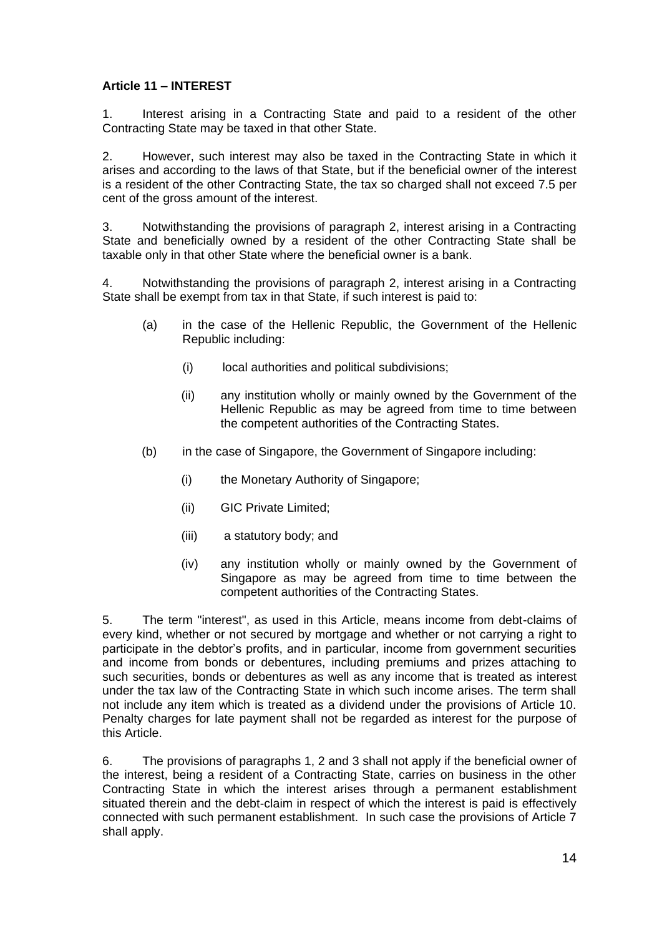# **Article 11 – INTEREST**

1. Interest arising in a Contracting State and paid to a resident of the other Contracting State may be taxed in that other State.

2. However, such interest may also be taxed in the Contracting State in which it arises and according to the laws of that State, but if the beneficial owner of the interest is a resident of the other Contracting State, the tax so charged shall not exceed 7.5 per cent of the gross amount of the interest.

3. Notwithstanding the provisions of paragraph 2, interest arising in a Contracting State and beneficially owned by a resident of the other Contracting State shall be taxable only in that other State where the beneficial owner is a bank.

4. Notwithstanding the provisions of paragraph 2, interest arising in a Contracting State shall be exempt from tax in that State, if such interest is paid to:

- (a) in the case of the Hellenic Republic, the Government of the Hellenic Republic including:
	- (i) local authorities and political subdivisions;
	- (ii) any institution wholly or mainly owned by the Government of the Hellenic Republic as may be agreed from time to time between the competent authorities of the Contracting States.
- (b) in the case of Singapore, the Government of Singapore including:
	- (i) the Monetary Authority of Singapore;
	- (ii) GIC Private Limited;
	- (iii) a statutory body; and
	- (iv) any institution wholly or mainly owned by the Government of Singapore as may be agreed from time to time between the competent authorities of the Contracting States.

5. The term "interest", as used in this Article, means income from debt-claims of every kind, whether or not secured by mortgage and whether or not carrying a right to participate in the debtor's profits, and in particular, income from government securities and income from bonds or debentures, including premiums and prizes attaching to such securities, bonds or debentures as well as any income that is treated as interest under the tax law of the Contracting State in which such income arises. The term shall not include any item which is treated as a dividend under the provisions of Article 10. Penalty charges for late payment shall not be regarded as interest for the purpose of this Article.

6. The provisions of paragraphs 1, 2 and 3 shall not apply if the beneficial owner of the interest, being a resident of a Contracting State, carries on business in the other Contracting State in which the interest arises through a permanent establishment situated therein and the debt-claim in respect of which the interest is paid is effectively connected with such permanent establishment. In such case the provisions of Article 7 shall apply.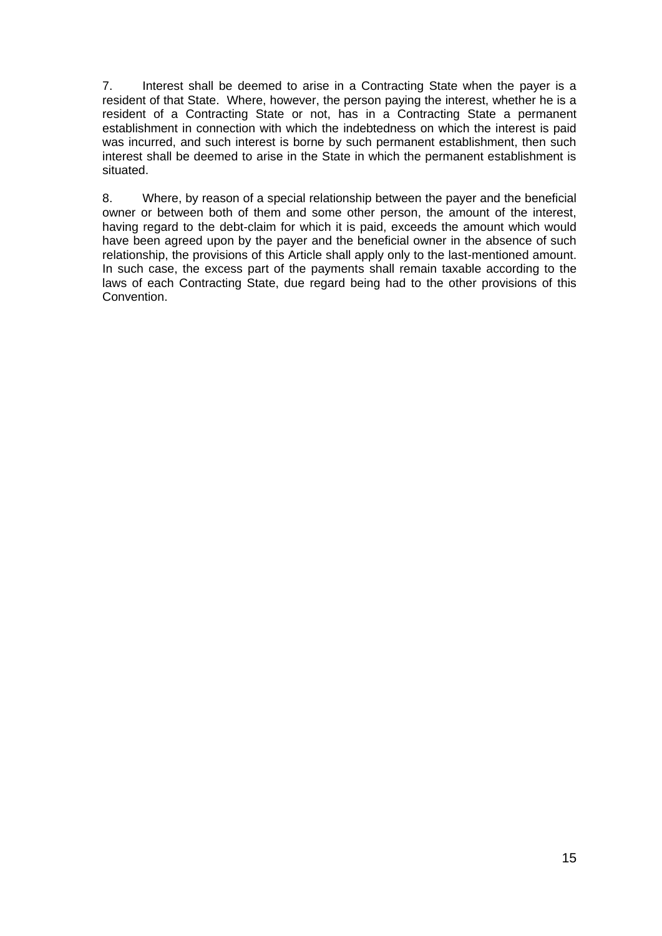7. Interest shall be deemed to arise in a Contracting State when the payer is a resident of that State. Where, however, the person paying the interest, whether he is a resident of a Contracting State or not, has in a Contracting State a permanent establishment in connection with which the indebtedness on which the interest is paid was incurred, and such interest is borne by such permanent establishment, then such interest shall be deemed to arise in the State in which the permanent establishment is situated.

8. Where, by reason of a special relationship between the payer and the beneficial owner or between both of them and some other person, the amount of the interest, having regard to the debt-claim for which it is paid, exceeds the amount which would have been agreed upon by the payer and the beneficial owner in the absence of such relationship, the provisions of this Article shall apply only to the last-mentioned amount. In such case, the excess part of the payments shall remain taxable according to the laws of each Contracting State, due regard being had to the other provisions of this Convention.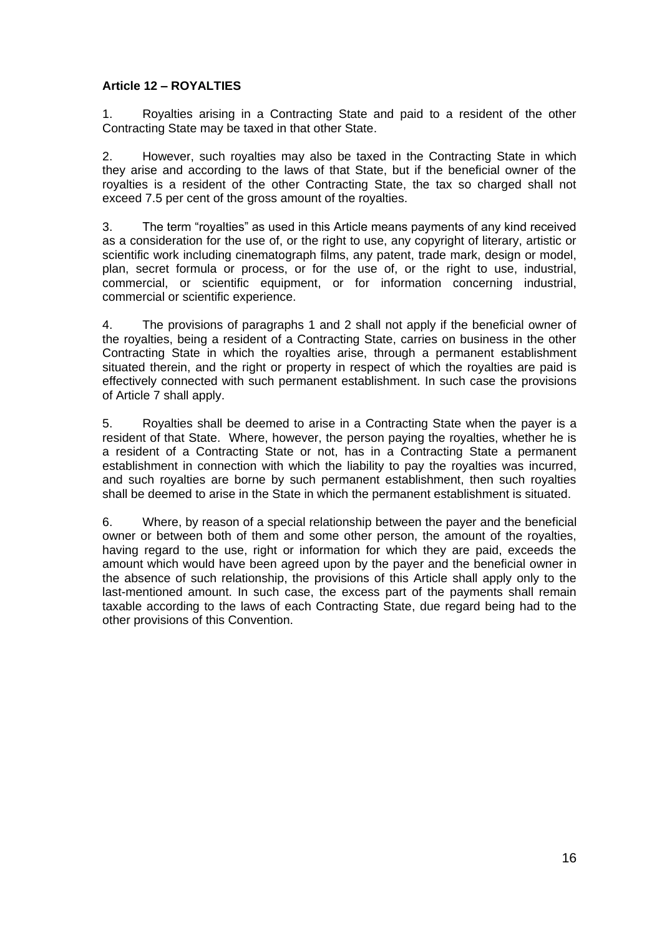# **Article 12 – ROYALTIES**

1. Royalties arising in a Contracting State and paid to a resident of the other Contracting State may be taxed in that other State.

2. However, such royalties may also be taxed in the Contracting State in which they arise and according to the laws of that State, but if the beneficial owner of the royalties is a resident of the other Contracting State, the tax so charged shall not exceed 7.5 per cent of the gross amount of the royalties.

3. The term "royalties" as used in this Article means payments of any kind received as a consideration for the use of, or the right to use, any copyright of literary, artistic or scientific work including cinematograph films, any patent, trade mark, design or model, plan, secret formula or process, or for the use of, or the right to use, industrial, commercial, or scientific equipment, or for information concerning industrial, commercial or scientific experience.

4. The provisions of paragraphs 1 and 2 shall not apply if the beneficial owner of the royalties, being a resident of a Contracting State, carries on business in the other Contracting State in which the royalties arise, through a permanent establishment situated therein, and the right or property in respect of which the royalties are paid is effectively connected with such permanent establishment. In such case the provisions of Article 7 shall apply.

5. Royalties shall be deemed to arise in a Contracting State when the payer is a resident of that State. Where, however, the person paying the royalties, whether he is a resident of a Contracting State or not, has in a Contracting State a permanent establishment in connection with which the liability to pay the royalties was incurred, and such royalties are borne by such permanent establishment, then such royalties shall be deemed to arise in the State in which the permanent establishment is situated.

6. Where, by reason of a special relationship between the payer and the beneficial owner or between both of them and some other person, the amount of the royalties, having regard to the use, right or information for which they are paid, exceeds the amount which would have been agreed upon by the payer and the beneficial owner in the absence of such relationship, the provisions of this Article shall apply only to the last-mentioned amount. In such case, the excess part of the payments shall remain taxable according to the laws of each Contracting State, due regard being had to the other provisions of this Convention.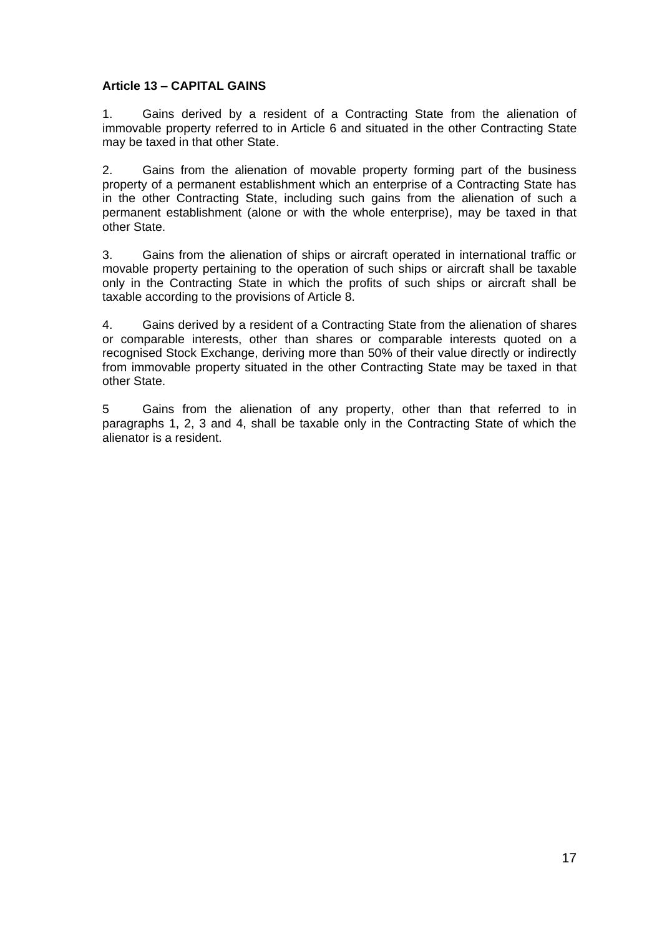### **Article 13 – CAPITAL GAINS**

1. Gains derived by a resident of a Contracting State from the alienation of immovable property referred to in Article 6 and situated in the other Contracting State may be taxed in that other State.

2. Gains from the alienation of movable property forming part of the business property of a permanent establishment which an enterprise of a Contracting State has in the other Contracting State, including such gains from the alienation of such a permanent establishment (alone or with the whole enterprise), may be taxed in that other State.

3. Gains from the alienation of ships or aircraft operated in international traffic or movable property pertaining to the operation of such ships or aircraft shall be taxable only in the Contracting State in which the profits of such ships or aircraft shall be taxable according to the provisions of Article 8.

4. Gains derived by a resident of a Contracting State from the alienation of shares or comparable interests, other than shares or comparable interests quoted on a recognised Stock Exchange, deriving more than 50% of their value directly or indirectly from immovable property situated in the other Contracting State may be taxed in that other State.

5 Gains from the alienation of any property, other than that referred to in paragraphs 1, 2, 3 and 4, shall be taxable only in the Contracting State of which the alienator is a resident.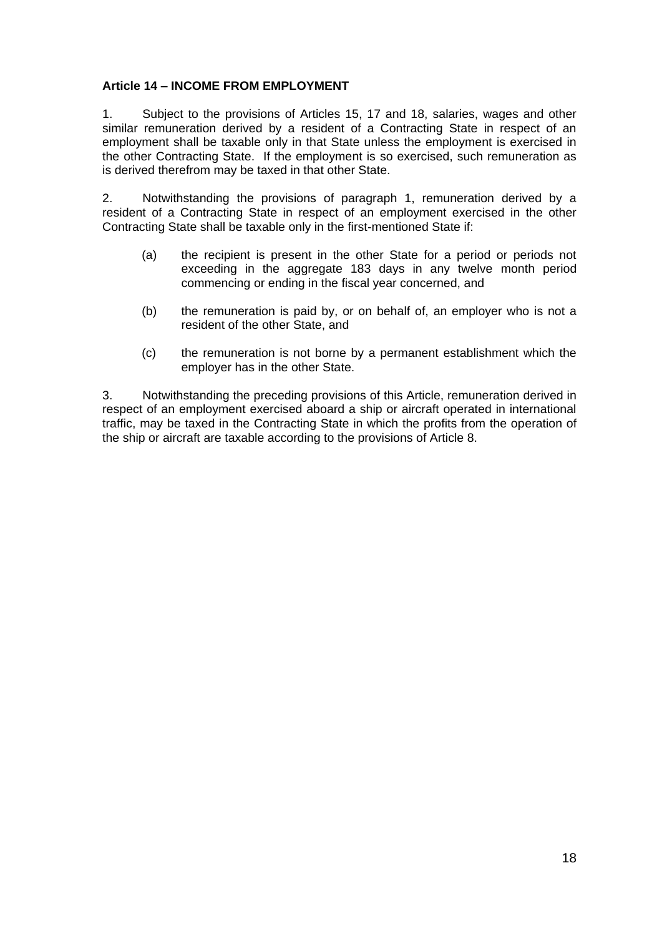# **Article 14 – INCOME FROM EMPLOYMENT**

1. Subject to the provisions of Articles 15, 17 and 18, salaries, wages and other similar remuneration derived by a resident of a Contracting State in respect of an employment shall be taxable only in that State unless the employment is exercised in the other Contracting State. If the employment is so exercised, such remuneration as is derived therefrom may be taxed in that other State.

2. Notwithstanding the provisions of paragraph 1, remuneration derived by a resident of a Contracting State in respect of an employment exercised in the other Contracting State shall be taxable only in the first-mentioned State if:

- (a) the recipient is present in the other State for a period or periods not exceeding in the aggregate 183 days in any twelve month period commencing or ending in the fiscal year concerned, and
- (b) the remuneration is paid by, or on behalf of, an employer who is not a resident of the other State, and
- (c) the remuneration is not borne by a permanent establishment which the employer has in the other State.

3. Notwithstanding the preceding provisions of this Article, remuneration derived in respect of an employment exercised aboard a ship or aircraft operated in international traffic, may be taxed in the Contracting State in which the profits from the operation of the ship or aircraft are taxable according to the provisions of Article 8.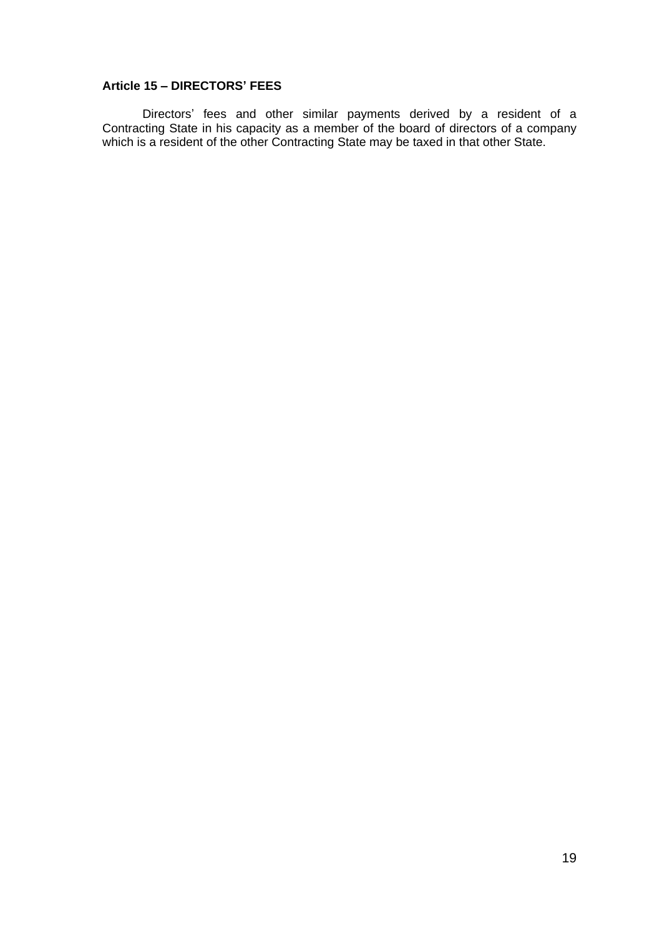# **Article 15 – DIRECTORS' FEES**

Directors' fees and other similar payments derived by a resident of a Contracting State in his capacity as a member of the board of directors of a company which is a resident of the other Contracting State may be taxed in that other State.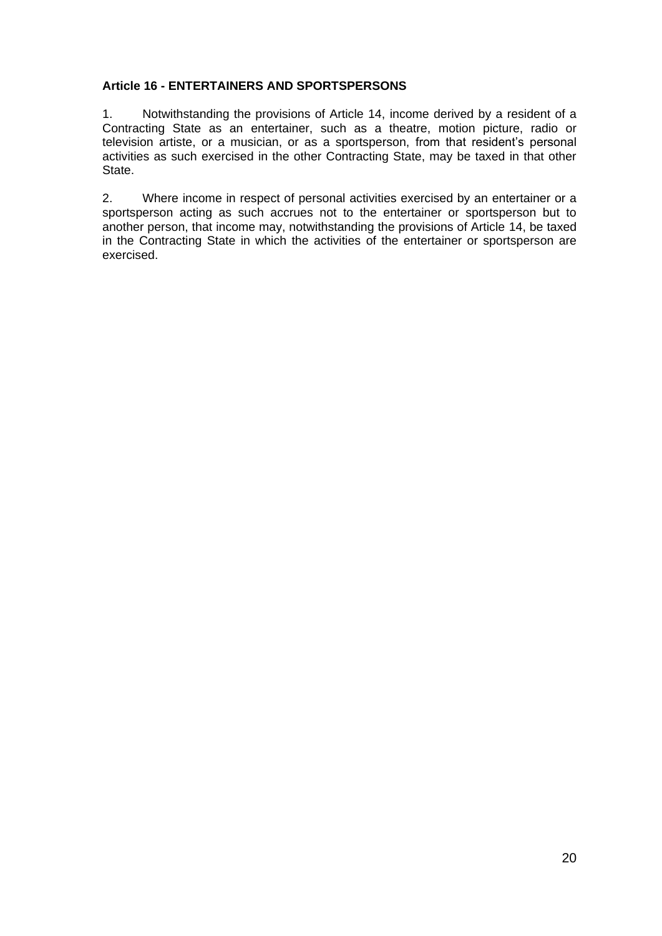# **Article 16 - ENTERTAINERS AND SPORTSPERSONS**

1. Notwithstanding the provisions of Article 14, income derived by a resident of a Contracting State as an entertainer, such as a theatre, motion picture, radio or television artiste, or a musician, or as a sportsperson, from that resident's personal activities as such exercised in the other Contracting State, may be taxed in that other State.

2. Where income in respect of personal activities exercised by an entertainer or a sportsperson acting as such accrues not to the entertainer or sportsperson but to another person, that income may, notwithstanding the provisions of Article 14, be taxed in the Contracting State in which the activities of the entertainer or sportsperson are exercised.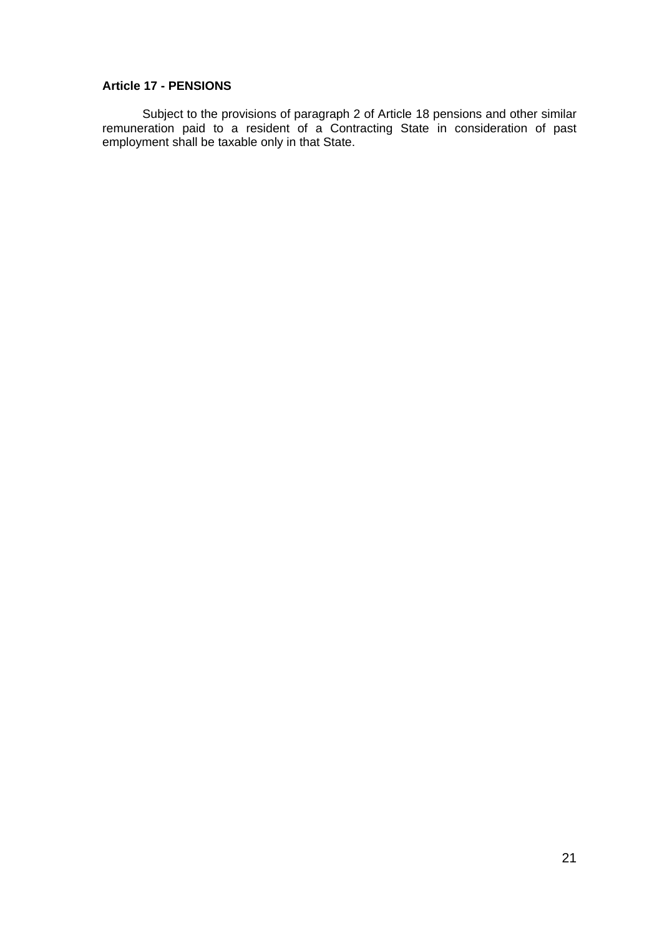### **Article 17 - PENSIONS**

Subject to the provisions of paragraph 2 of Article 18 pensions and other similar remuneration paid to a resident of a Contracting State in consideration of past employment shall be taxable only in that State.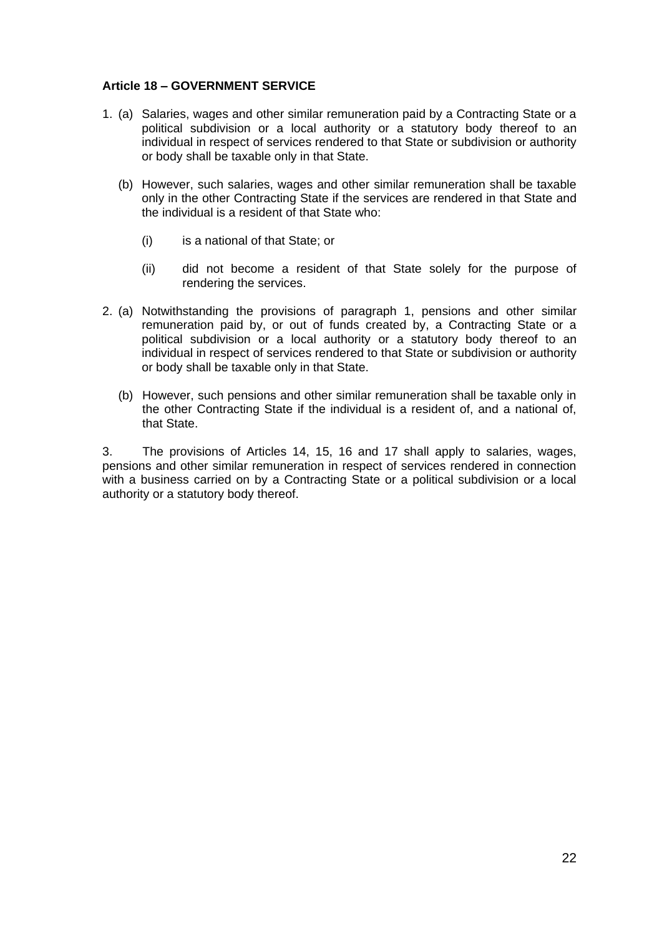### **Article 18 – GOVERNMENT SERVICE**

- 1. (a) Salaries, wages and other similar remuneration paid by a Contracting State or a political subdivision or a local authority or a statutory body thereof to an individual in respect of services rendered to that State or subdivision or authority or body shall be taxable only in that State.
	- (b) However, such salaries, wages and other similar remuneration shall be taxable only in the other Contracting State if the services are rendered in that State and the individual is a resident of that State who:
		- (i) is a national of that State; or
		- (ii) did not become a resident of that State solely for the purpose of rendering the services.
- 2. (a) Notwithstanding the provisions of paragraph 1, pensions and other similar remuneration paid by, or out of funds created by, a Contracting State or a political subdivision or a local authority or a statutory body thereof to an individual in respect of services rendered to that State or subdivision or authority or body shall be taxable only in that State.
	- (b) However, such pensions and other similar remuneration shall be taxable only in the other Contracting State if the individual is a resident of, and a national of, that State.

3. The provisions of Articles 14, 15, 16 and 17 shall apply to salaries, wages, pensions and other similar remuneration in respect of services rendered in connection with a business carried on by a Contracting State or a political subdivision or a local authority or a statutory body thereof.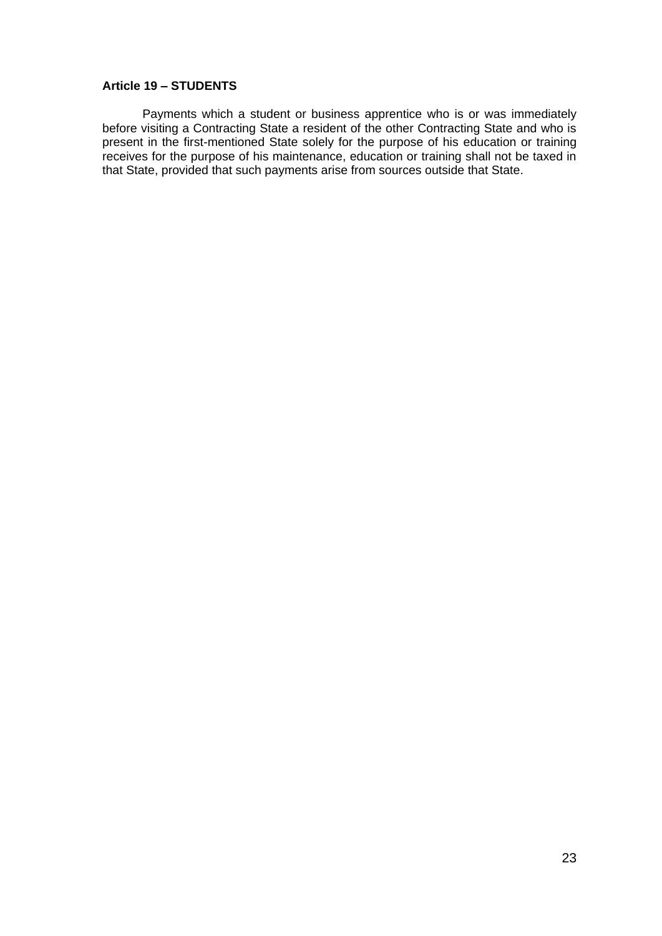#### **Article 19 – STUDENTS**

Payments which a student or business apprentice who is or was immediately before visiting a Contracting State a resident of the other Contracting State and who is present in the first-mentioned State solely for the purpose of his education or training receives for the purpose of his maintenance, education or training shall not be taxed in that State, provided that such payments arise from sources outside that State.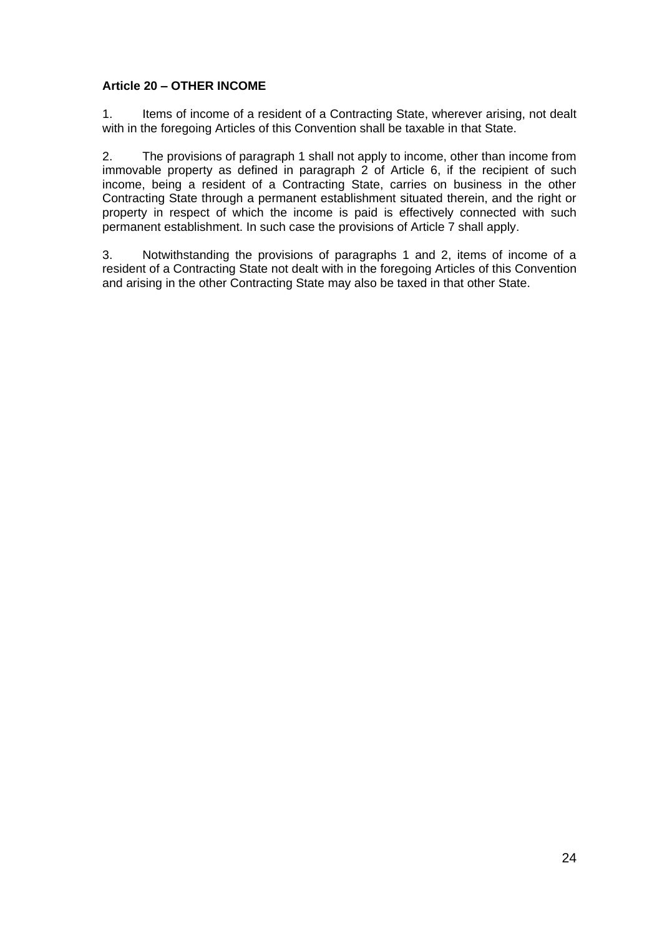# **Article 20 – OTHER INCOME**

1. Items of income of a resident of a Contracting State, wherever arising, not dealt with in the foregoing Articles of this Convention shall be taxable in that State.

2. The provisions of paragraph 1 shall not apply to income, other than income from immovable property as defined in paragraph 2 of Article 6, if the recipient of such income, being a resident of a Contracting State, carries on business in the other Contracting State through a permanent establishment situated therein, and the right or property in respect of which the income is paid is effectively connected with such permanent establishment. In such case the provisions of Article 7 shall apply.

3. Notwithstanding the provisions of paragraphs 1 and 2, items of income of a resident of a Contracting State not dealt with in the foregoing Articles of this Convention and arising in the other Contracting State may also be taxed in that other State.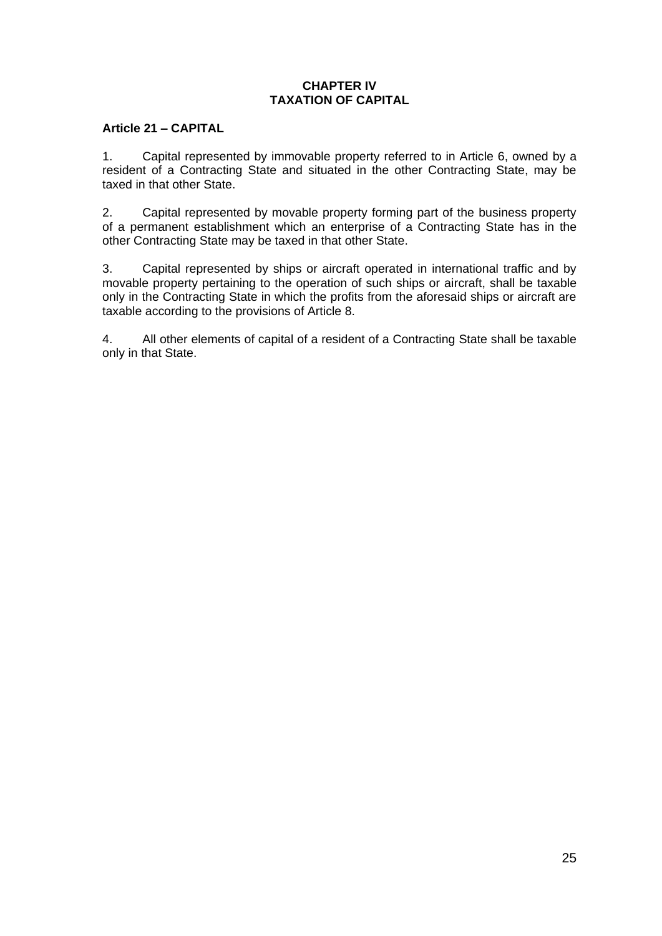# **CHAPTER IV TAXATION OF CAPITAL**

# **Article 21 – CAPITAL**

1. Capital represented by immovable property referred to in Article 6, owned by a resident of a Contracting State and situated in the other Contracting State, may be taxed in that other State.

2. Capital represented by movable property forming part of the business property of a permanent establishment which an enterprise of a Contracting State has in the other Contracting State may be taxed in that other State.

3. Capital represented by ships or aircraft operated in international traffic and by movable property pertaining to the operation of such ships or aircraft, shall be taxable only in the Contracting State in which the profits from the aforesaid ships or aircraft are taxable according to the provisions of Article 8.

4. All other elements of capital of a resident of a Contracting State shall be taxable only in that State.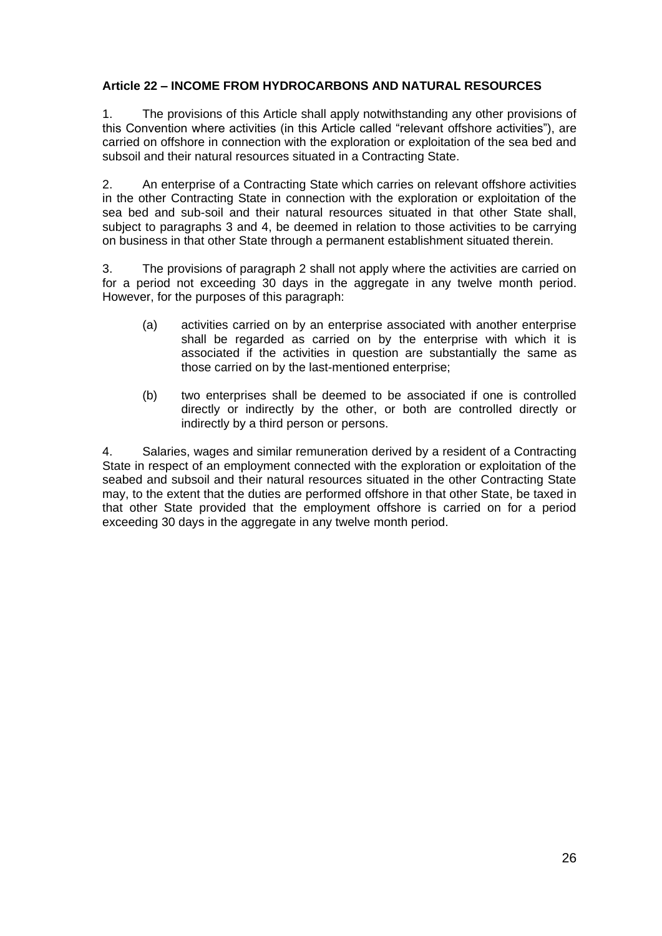# **Article 22 – INCOME FROM HYDROCARBONS AND NATURAL RESOURCES**

1. The provisions of this Article shall apply notwithstanding any other provisions of this Convention where activities (in this Article called "relevant offshore activities"), are carried on offshore in connection with the exploration or exploitation of the sea bed and subsoil and their natural resources situated in a Contracting State.

2. An enterprise of a Contracting State which carries on relevant offshore activities in the other Contracting State in connection with the exploration or exploitation of the sea bed and sub-soil and their natural resources situated in that other State shall, subject to paragraphs 3 and 4, be deemed in relation to those activities to be carrying on business in that other State through a permanent establishment situated therein.

3. The provisions of paragraph 2 shall not apply where the activities are carried on for a period not exceeding 30 days in the aggregate in any twelve month period. However, for the purposes of this paragraph:

- (a) activities carried on by an enterprise associated with another enterprise shall be regarded as carried on by the enterprise with which it is associated if the activities in question are substantially the same as those carried on by the last-mentioned enterprise;
- (b) two enterprises shall be deemed to be associated if one is controlled directly or indirectly by the other, or both are controlled directly or indirectly by a third person or persons.

4. Salaries, wages and similar remuneration derived by a resident of a Contracting State in respect of an employment connected with the exploration or exploitation of the seabed and subsoil and their natural resources situated in the other Contracting State may, to the extent that the duties are performed offshore in that other State, be taxed in that other State provided that the employment offshore is carried on for a period exceeding 30 days in the aggregate in any twelve month period.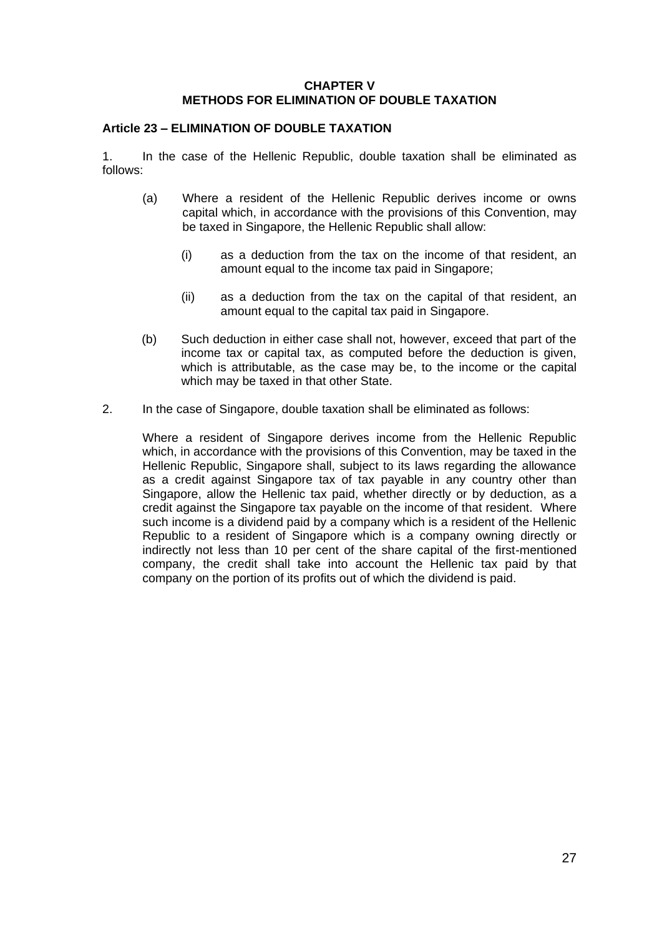### **CHAPTER V METHODS FOR ELIMINATION OF DOUBLE TAXATION**

### **Article 23 – ELIMINATION OF DOUBLE TAXATION**

1. In the case of the Hellenic Republic, double taxation shall be eliminated as follows:

- (a) Where a resident of the Hellenic Republic derives income or owns capital which, in accordance with the provisions of this Convention, may be taxed in Singapore, the Hellenic Republic shall allow:
	- (i) as a deduction from the tax on the income of that resident, an amount equal to the income tax paid in Singapore;
	- (ii) as a deduction from the tax on the capital of that resident, an amount equal to the capital tax paid in Singapore.
- (b) Such deduction in either case shall not, however, exceed that part of the income tax or capital tax, as computed before the deduction is given, which is attributable, as the case may be, to the income or the capital which may be taxed in that other State.
- 2. In the case of Singapore, double taxation shall be eliminated as follows:

Where a resident of Singapore derives income from the Hellenic Republic which, in accordance with the provisions of this Convention, may be taxed in the Hellenic Republic, Singapore shall, subject to its laws regarding the allowance as a credit against Singapore tax of tax payable in any country other than Singapore, allow the Hellenic tax paid, whether directly or by deduction, as a credit against the Singapore tax payable on the income of that resident. Where such income is a dividend paid by a company which is a resident of the Hellenic Republic to a resident of Singapore which is a company owning directly or indirectly not less than 10 per cent of the share capital of the first-mentioned company, the credit shall take into account the Hellenic tax paid by that company on the portion of its profits out of which the dividend is paid.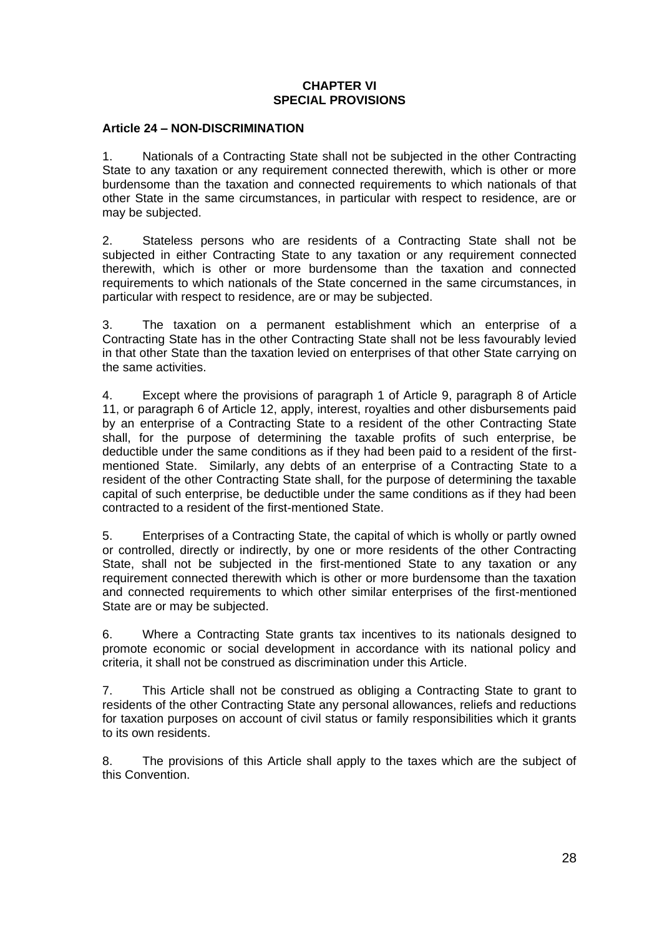### **CHAPTER VI SPECIAL PROVISIONS**

#### **Article 24 – NON-DISCRIMINATION**

1. Nationals of a Contracting State shall not be subjected in the other Contracting State to any taxation or any requirement connected therewith, which is other or more burdensome than the taxation and connected requirements to which nationals of that other State in the same circumstances, in particular with respect to residence, are or may be subjected.

2. Stateless persons who are residents of a Contracting State shall not be subjected in either Contracting State to any taxation or any requirement connected therewith, which is other or more burdensome than the taxation and connected requirements to which nationals of the State concerned in the same circumstances, in particular with respect to residence, are or may be subjected.

3. The taxation on a permanent establishment which an enterprise of a Contracting State has in the other Contracting State shall not be less favourably levied in that other State than the taxation levied on enterprises of that other State carrying on the same activities.

4. Except where the provisions of paragraph 1 of Article 9, paragraph 8 of Article 11, or paragraph 6 of Article 12, apply, interest, royalties and other disbursements paid by an enterprise of a Contracting State to a resident of the other Contracting State shall, for the purpose of determining the taxable profits of such enterprise, be deductible under the same conditions as if they had been paid to a resident of the firstmentioned State. Similarly, any debts of an enterprise of a Contracting State to a resident of the other Contracting State shall, for the purpose of determining the taxable capital of such enterprise, be deductible under the same conditions as if they had been contracted to a resident of the first-mentioned State.

5. Enterprises of a Contracting State, the capital of which is wholly or partly owned or controlled, directly or indirectly, by one or more residents of the other Contracting State, shall not be subjected in the first-mentioned State to any taxation or any requirement connected therewith which is other or more burdensome than the taxation and connected requirements to which other similar enterprises of the first-mentioned State are or may be subjected.

6. Where a Contracting State grants tax incentives to its nationals designed to promote economic or social development in accordance with its national policy and criteria, it shall not be construed as discrimination under this Article.

7. This Article shall not be construed as obliging a Contracting State to grant to residents of the other Contracting State any personal allowances, reliefs and reductions for taxation purposes on account of civil status or family responsibilities which it grants to its own residents.

8. The provisions of this Article shall apply to the taxes which are the subject of this Convention.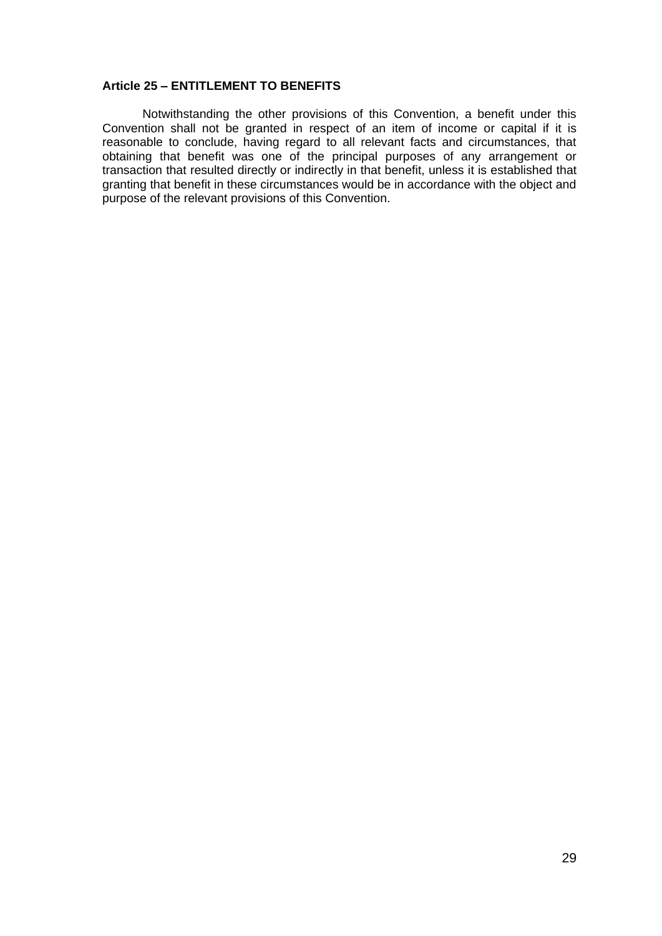### **Article 25 – ENTITLEMENT TO BENEFITS**

Notwithstanding the other provisions of this Convention, a benefit under this Convention shall not be granted in respect of an item of income or capital if it is reasonable to conclude, having regard to all relevant facts and circumstances, that obtaining that benefit was one of the principal purposes of any arrangement or transaction that resulted directly or indirectly in that benefit, unless it is established that granting that benefit in these circumstances would be in accordance with the object and purpose of the relevant provisions of this Convention.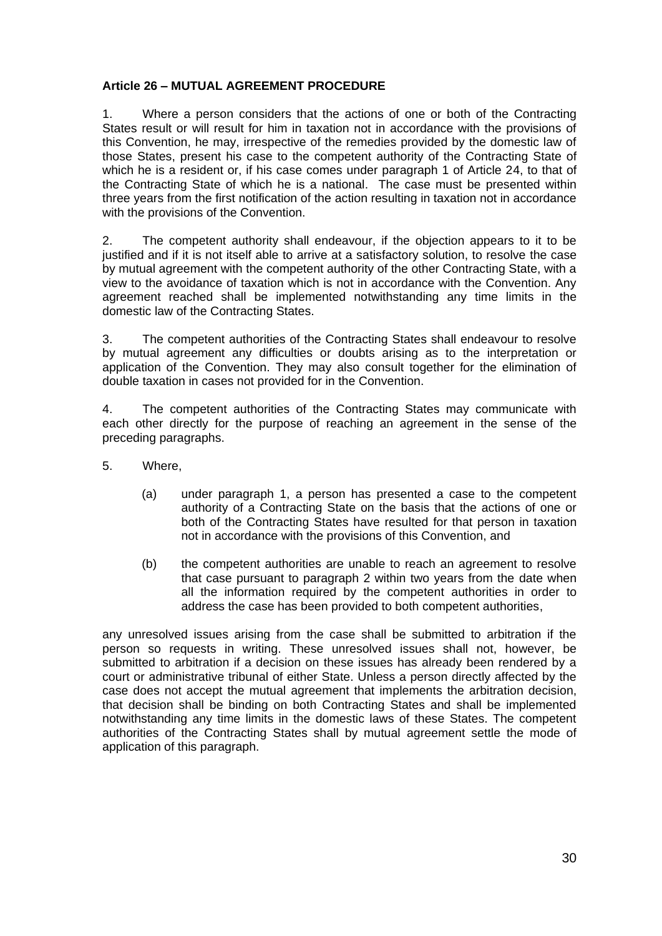# **Article 26 – MUTUAL AGREEMENT PROCEDURE**

1. Where a person considers that the actions of one or both of the Contracting States result or will result for him in taxation not in accordance with the provisions of this Convention, he may, irrespective of the remedies provided by the domestic law of those States, present his case to the competent authority of the Contracting State of which he is a resident or, if his case comes under paragraph 1 of Article 24, to that of the Contracting State of which he is a national. The case must be presented within three years from the first notification of the action resulting in taxation not in accordance with the provisions of the Convention.

2. The competent authority shall endeavour, if the objection appears to it to be justified and if it is not itself able to arrive at a satisfactory solution, to resolve the case by mutual agreement with the competent authority of the other Contracting State, with a view to the avoidance of taxation which is not in accordance with the Convention. Any agreement reached shall be implemented notwithstanding any time limits in the domestic law of the Contracting States.

3. The competent authorities of the Contracting States shall endeavour to resolve by mutual agreement any difficulties or doubts arising as to the interpretation or application of the Convention. They may also consult together for the elimination of double taxation in cases not provided for in the Convention.

4. The competent authorities of the Contracting States may communicate with each other directly for the purpose of reaching an agreement in the sense of the preceding paragraphs.

- 5. Where,
	- (a) under paragraph 1, a person has presented a case to the competent authority of a Contracting State on the basis that the actions of one or both of the Contracting States have resulted for that person in taxation not in accordance with the provisions of this Convention, and
	- (b) the competent authorities are unable to reach an agreement to resolve that case pursuant to paragraph 2 within two years from the date when all the information required by the competent authorities in order to address the case has been provided to both competent authorities,

any unresolved issues arising from the case shall be submitted to arbitration if the person so requests in writing. These unresolved issues shall not, however, be submitted to arbitration if a decision on these issues has already been rendered by a court or administrative tribunal of either State. Unless a person directly affected by the case does not accept the mutual agreement that implements the arbitration decision, that decision shall be binding on both Contracting States and shall be implemented notwithstanding any time limits in the domestic laws of these States. The competent authorities of the Contracting States shall by mutual agreement settle the mode of application of this paragraph.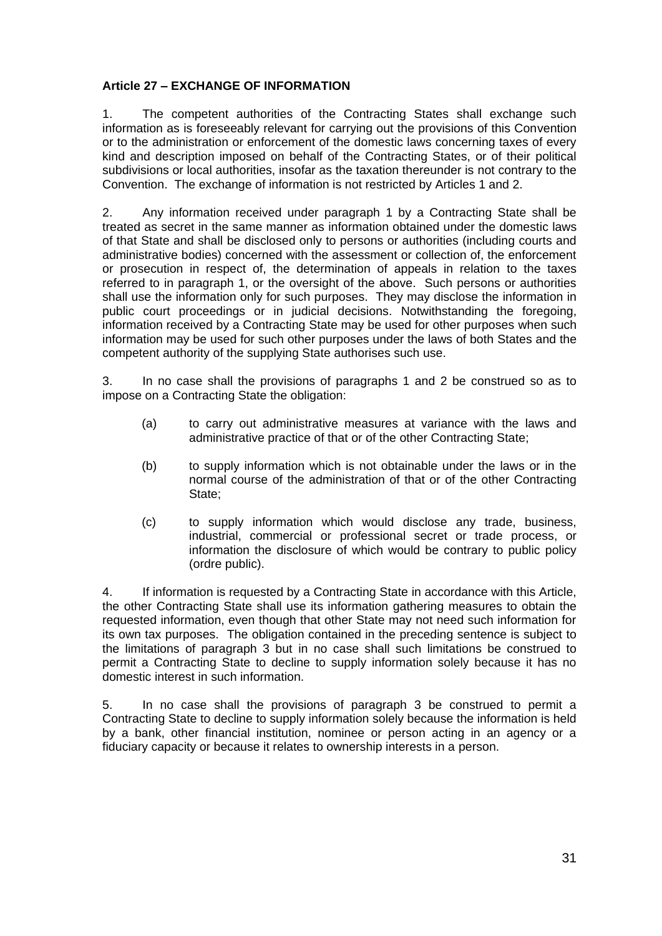# **Article 27 – EXCHANGE OF INFORMATION**

1. The competent authorities of the Contracting States shall exchange such information as is foreseeably relevant for carrying out the provisions of this Convention or to the administration or enforcement of the domestic laws concerning taxes of every kind and description imposed on behalf of the Contracting States, or of their political subdivisions or local authorities, insofar as the taxation thereunder is not contrary to the Convention. The exchange of information is not restricted by Articles 1 and 2.

2. Any information received under paragraph 1 by a Contracting State shall be treated as secret in the same manner as information obtained under the domestic laws of that State and shall be disclosed only to persons or authorities (including courts and administrative bodies) concerned with the assessment or collection of, the enforcement or prosecution in respect of, the determination of appeals in relation to the taxes referred to in paragraph 1, or the oversight of the above. Such persons or authorities shall use the information only for such purposes. They may disclose the information in public court proceedings or in judicial decisions. Notwithstanding the foregoing, information received by a Contracting State may be used for other purposes when such information may be used for such other purposes under the laws of both States and the competent authority of the supplying State authorises such use.

3. In no case shall the provisions of paragraphs 1 and 2 be construed so as to impose on a Contracting State the obligation:

- (a) to carry out administrative measures at variance with the laws and administrative practice of that or of the other Contracting State;
- (b) to supply information which is not obtainable under the laws or in the normal course of the administration of that or of the other Contracting State;
- (c) to supply information which would disclose any trade, business, industrial, commercial or professional secret or trade process, or information the disclosure of which would be contrary to public policy (ordre public).

4. If information is requested by a Contracting State in accordance with this Article, the other Contracting State shall use its information gathering measures to obtain the requested information, even though that other State may not need such information for its own tax purposes. The obligation contained in the preceding sentence is subject to the limitations of paragraph 3 but in no case shall such limitations be construed to permit a Contracting State to decline to supply information solely because it has no domestic interest in such information.

5. In no case shall the provisions of paragraph 3 be construed to permit a Contracting State to decline to supply information solely because the information is held by a bank, other financial institution, nominee or person acting in an agency or a fiduciary capacity or because it relates to ownership interests in a person.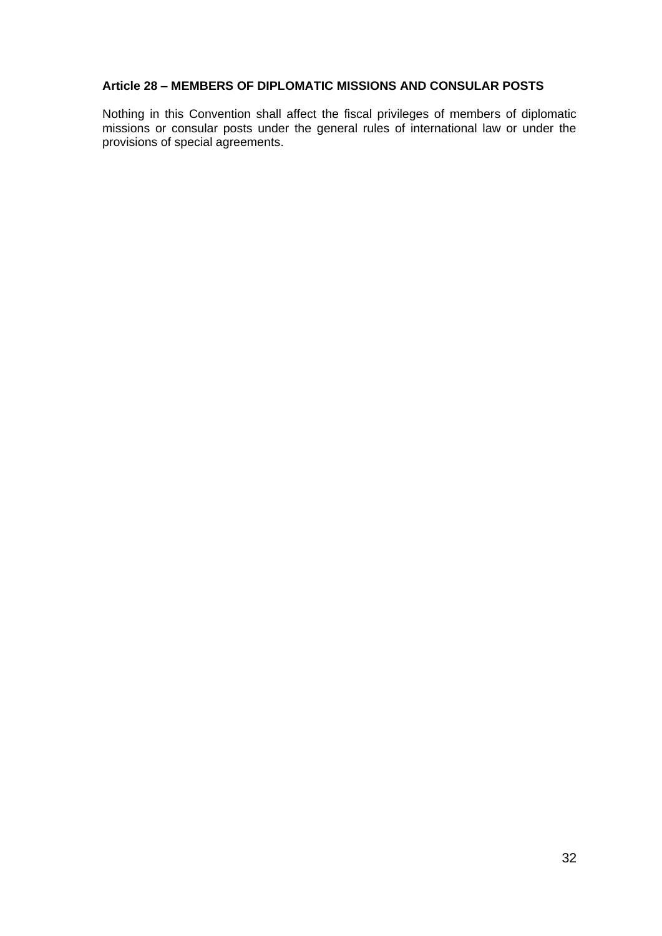### **Article 28 – MEMBERS OF DIPLOMATIC MISSIONS AND CONSULAR POSTS**

Nothing in this Convention shall affect the fiscal privileges of members of diplomatic missions or consular posts under the general rules of international law or under the provisions of special agreements.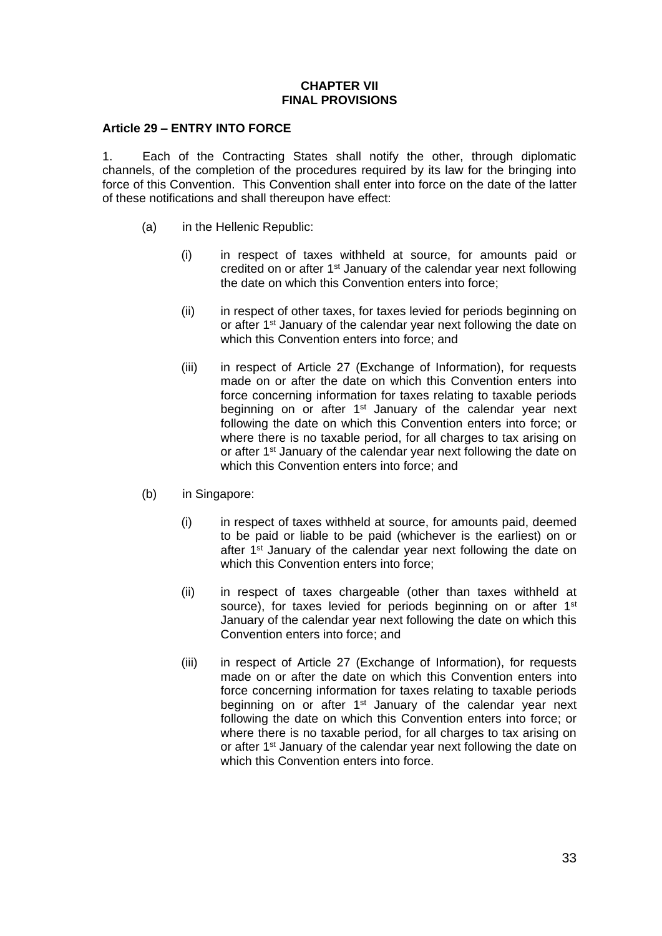### **CHAPTER VII FINAL PROVISIONS**

#### **Article 29 – ENTRY INTO FORCE**

1. Each of the Contracting States shall notify the other, through diplomatic channels, of the completion of the procedures required by its law for the bringing into force of this Convention. This Convention shall enter into force on the date of the latter of these notifications and shall thereupon have effect:

- (a) in the Hellenic Republic:
	- (i) in respect of taxes withheld at source, for amounts paid or credited on or after 1<sup>st</sup> January of the calendar year next following the date on which this Convention enters into force;
	- (ii) in respect of other taxes, for taxes levied for periods beginning on or after 1<sup>st</sup> January of the calendar year next following the date on which this Convention enters into force; and
	- (iii) in respect of Article 27 (Exchange of Information), for requests made on or after the date on which this Convention enters into force concerning information for taxes relating to taxable periods beginning on or after 1<sup>st</sup> January of the calendar year next following the date on which this Convention enters into force; or where there is no taxable period, for all charges to tax arising on or after 1<sup>st</sup> January of the calendar year next following the date on which this Convention enters into force; and
- (b) in Singapore:
	- (i) in respect of taxes withheld at source, for amounts paid, deemed to be paid or liable to be paid (whichever is the earliest) on or after 1<sup>st</sup> January of the calendar year next following the date on which this Convention enters into force:
	- (ii) in respect of taxes chargeable (other than taxes withheld at source), for taxes levied for periods beginning on or after 1<sup>st</sup> January of the calendar year next following the date on which this Convention enters into force; and
	- (iii) in respect of Article 27 (Exchange of Information), for requests made on or after the date on which this Convention enters into force concerning information for taxes relating to taxable periods beginning on or after 1<sup>st</sup> January of the calendar year next following the date on which this Convention enters into force; or where there is no taxable period, for all charges to tax arising on or after 1<sup>st</sup> January of the calendar year next following the date on which this Convention enters into force.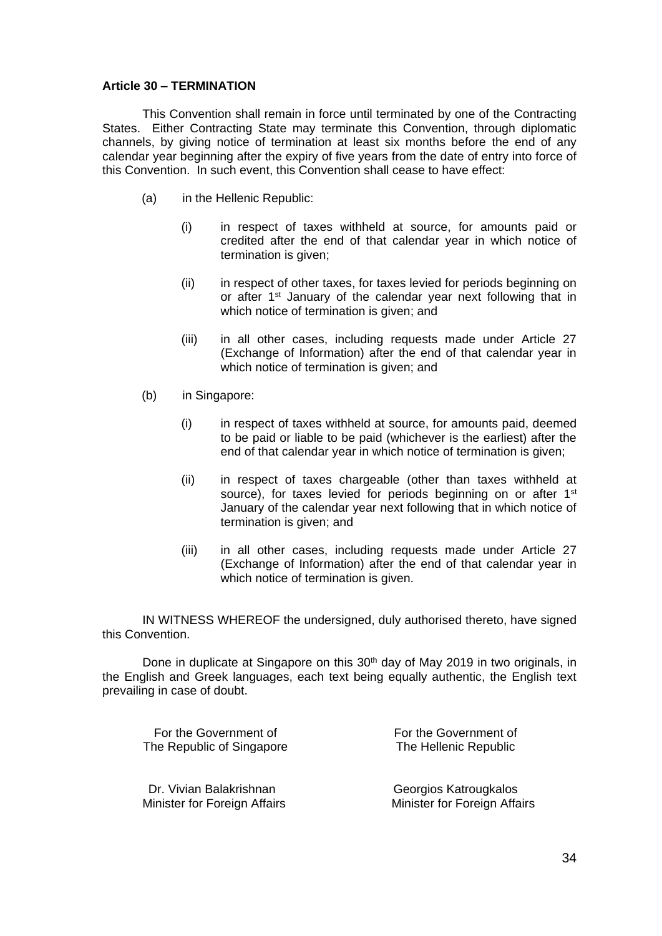#### **Article 30 – TERMINATION**

This Convention shall remain in force until terminated by one of the Contracting States. Either Contracting State may terminate this Convention, through diplomatic channels, by giving notice of termination at least six months before the end of any calendar year beginning after the expiry of five years from the date of entry into force of this Convention. In such event, this Convention shall cease to have effect:

- (a) in the Hellenic Republic:
	- (i) in respect of taxes withheld at source, for amounts paid or credited after the end of that calendar year in which notice of termination is given;
	- (ii) in respect of other taxes, for taxes levied for periods beginning on or after 1<sup>st</sup> January of the calendar year next following that in which notice of termination is given; and
	- (iii) in all other cases, including requests made under Article 27 (Exchange of Information) after the end of that calendar year in which notice of termination is given; and
- (b) in Singapore:
	- (i) in respect of taxes withheld at source, for amounts paid, deemed to be paid or liable to be paid (whichever is the earliest) after the end of that calendar year in which notice of termination is given;
	- (ii) in respect of taxes chargeable (other than taxes withheld at source), for taxes levied for periods beginning on or after 1<sup>st</sup> January of the calendar year next following that in which notice of termination is given; and
	- (iii) in all other cases, including requests made under Article 27 (Exchange of Information) after the end of that calendar year in which notice of termination is given.

IN WITNESS WHEREOF the undersigned, duly authorised thereto, have signed this Convention.

Done in duplicate at Singapore on this 30<sup>th</sup> day of May 2019 in two originals, in the English and Greek languages, each text being equally authentic, the English text prevailing in case of doubt.

For the Government of For the Government of The Republic of Singapore

Dr. Vivian Balakrishnan Minister for Foreign Affairs The Hellenic Republic

Georgios Katrougkalos Minister for Foreign Affairs